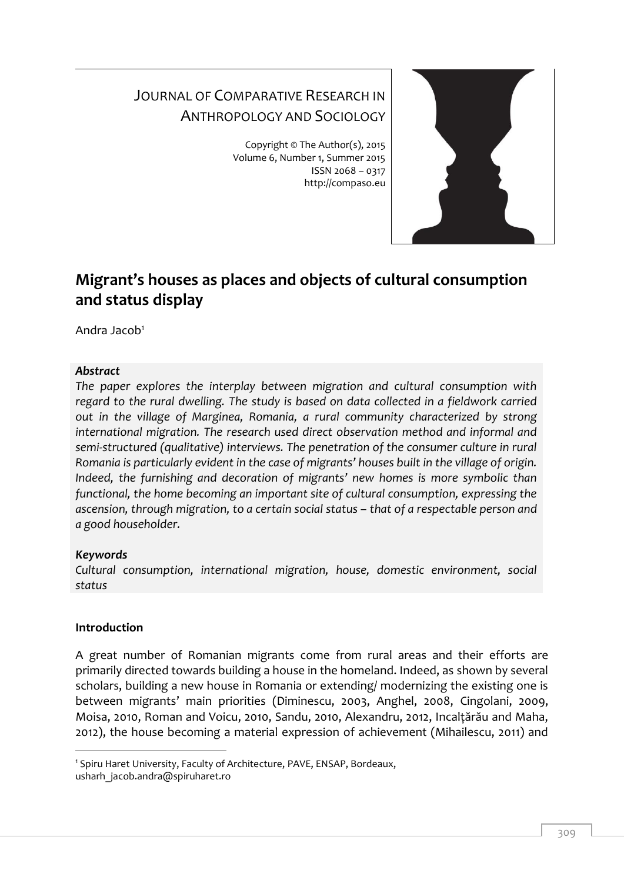# JOURNAL OF COMPARATIVE RESEARCH IN ANTHROPOLOGY AND SOCIOLOGY

Copyright © The Author(s), 2015 Volume 6, Number 1, Summer 2015 ISSN 2068 – 0317 http://compaso.eu



# **Migrant's houses as places and objects of cultural consumption and status display**

Andra Jacob<sup>1</sup>

## *Abstract*

*The paper explores the interplay between migration and cultural consumption with regard to the rural dwelling. The study is based on data collected in a fieldwork carried out in the village of Marginea, Romania, a rural community characterized by strong international migration. The research used direct observation method and informal and semi-structured (qualitative) interviews. The penetration of the consumer culture in rural Romania is particularly evident in the case of migrants' houses built in the village of origin. Indeed, the furnishing and decoration of migrants' new homes is more symbolic than functional, the home becoming an important site of cultural consumption, expressing the ascension, through migration, to a certain social status - that of a respectable person and a good householder.*

# *Keywords*

*Cultural consumption, international migration, house, domestic environment, social status*

# **Introduction**

-

A great number of Romanian migrants come from rural areas and their efforts are primarily directed towards building a house in the homeland. Indeed, as shown by several scholars, building a new house in Romania or extending/ modernizing the existing one is between migrants' main priorities (Diminescu, 2003, Anghel, 2008, Cingolani, 2009, Moisa, 2010, Roman and Voicu, 2010, Sandu, 2010, Alexandru, 2012, Incalţărău and Maha, 2012), the house becoming a material expression of achievement (Mihailescu, 2011) and

<sup>1</sup> Spiru Haret University, Faculty of Architecture, PAVE, ENSAP, Bordeaux, usharh jacob.andra@spiruharet.ro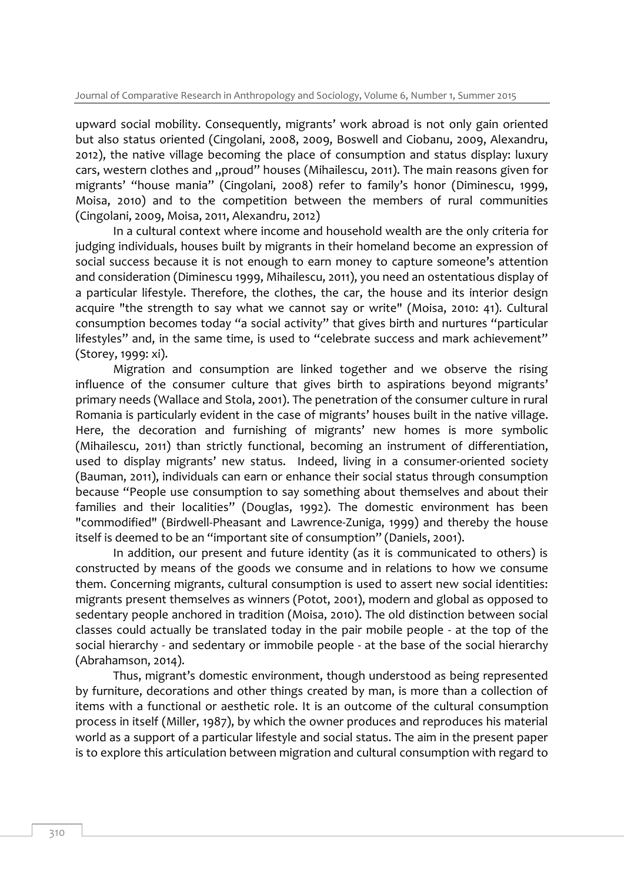upward social mobility. Consequently, migrants' work abroad is not only gain oriented but also status oriented (Cingolani, 2008, 2009, Boswell and Ciobanu, 2009, Alexandru, 2012), the native village becoming the place of consumption and status display: luxury cars, western clothes and "proud" houses (Mihailescu, 2011). The main reasons given for migrants' "house mania" (Cingolani, 2008) refer to family's honor (Diminescu, 1999, Moisa, 2010) and to the competition between the members of rural communities (Cingolani, 2009, Moisa, 2011, Alexandru, 2012)

In a cultural context where income and household wealth are the only criteria for judging individuals, houses built by migrants in their homeland become an expression of social success because it is not enough to earn money to capture someone's attention and consideration (Diminescu 1999, Mihailescu, 2011), you need an ostentatious display of a particular lifestyle. Therefore, the clothes, the car, the house and its interior design acquire "the strength to say what we cannot say or write" (Moisa, 2010: 41). Cultural consumption becomes today "a social activity" that gives birth and nurtures "particular lifestyles" and, in the same time, is used to "celebrate success and mark achievement" (Storey, 1999: xi).

Migration and consumption are linked together and we observe the rising influence of the consumer culture that gives birth to aspirations beyond migrants' primary needs (Wallace and Stola, 2001). The penetration of the consumer culture in rural Romania is particularly evident in the case of migrants' houses built in the native village. Here, the decoration and furnishing of migrants' new homes is more symbolic (Mihailescu, 2011) than strictly functional, becoming an instrument of differentiation, used to display migrants' new status. Indeed, living in a consumer-oriented society (Bauman, 2011), individuals can earn or enhance their social status through consumption because "People use consumption to say something about themselves and about their families and their localities" (Douglas, 1992). The domestic environment has been "commodified" (Birdwell-Pheasant and Lawrence-Zuniga, 1999) and thereby the house itself is deemed to be an "important site of consumption" (Daniels, 2001).

In addition, our present and future identity (as it is communicated to others) is constructed by means of the goods we consume and in relations to how we consume them. Concerning migrants, cultural consumption is used to assert new social identities: migrants present themselves as winners (Potot, 2001), modern and global as opposed to sedentary people anchored in tradition (Moisa, 2010). The old distinction between social classes could actually be translated today in the pair mobile people - at the top of the social hierarchy - and sedentary or immobile people - at the base of the social hierarchy (Abrahamson, 2014).

Thus, migrant's domestic environment, though understood as being represented by furniture, decorations and other things created by man, is more than a collection of items with a functional or aesthetic role. It is an outcome of the cultural consumption process in itself (Miller, 1987), by which the owner produces and reproduces his material world as a support of a particular lifestyle and social status. The aim in the present paper is to explore this articulation between migration and cultural consumption with regard to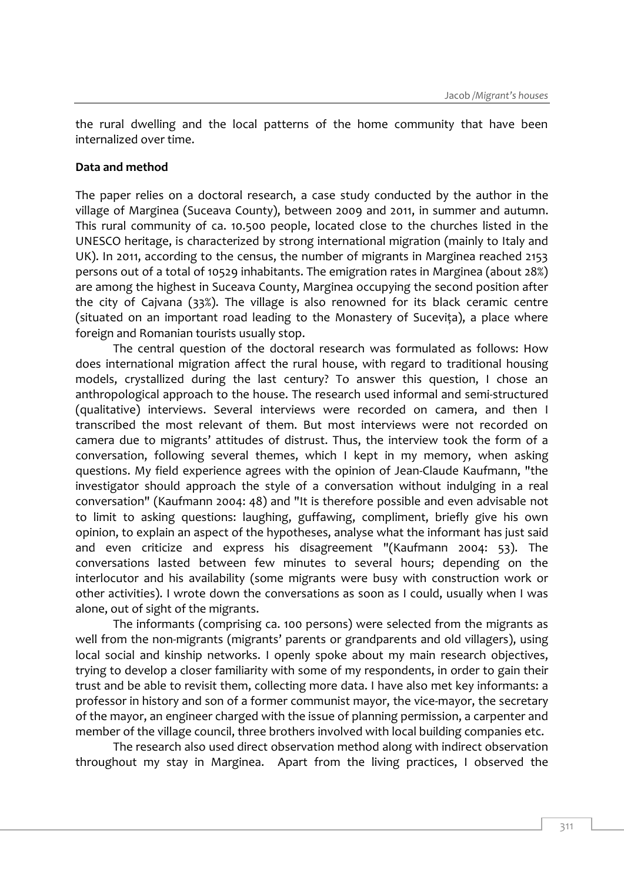the rural dwelling and the local patterns of the home community that have been internalized over time.

#### **Data and method**

The paper relies on a doctoral research, a case study conducted by the author in the village of Marginea (Suceava County), between 2009 and 2011, in summer and autumn. This rural community of ca. 10.500 people, located close to the churches listed in the UNESCO heritage, is characterized by strong international migration (mainly to Italy and UK). In 2011, according to the census, the number of migrants in Marginea reached 2153 persons out of a total of 10529 inhabitants. The emigration rates in Marginea (about 28%) are among the highest in Suceava County, Marginea occupying the second position after the city of Cajvana (33%). The village is also renowned for its black ceramic centre (situated on an important road leading to the Monastery of Suceviţa), a place where foreign and Romanian tourists usually stop.

The central question of the doctoral research was formulated as follows: How does international migration affect the rural house, with regard to traditional housing models, crystallized during the last century? To answer this question, I chose an anthropological approach to the house. The research used informal and semi-structured (qualitative) interviews. Several interviews were recorded on camera, and then I transcribed the most relevant of them. But most interviews were not recorded on camera due to migrants' attitudes of distrust. Thus, the interview took the form of a conversation, following several themes, which I kept in my memory, when asking questions. My field experience agrees with the opinion of Jean-Claude Kaufmann, "the investigator should approach the style of a conversation without indulging in a real conversation" (Kaufmann 2004: 48) and "It is therefore possible and even advisable not to limit to asking questions: laughing, guffawing, compliment, briefly give his own opinion, to explain an aspect of the hypotheses, analyse what the informant has just said and even criticize and express his disagreement "(Kaufmann 2004: 53). The conversations lasted between few minutes to several hours; depending on the interlocutor and his availability (some migrants were busy with construction work or other activities). I wrote down the conversations as soon as I could, usually when I was alone, out of sight of the migrants.

The informants (comprising ca. 100 persons) were selected from the migrants as well from the non-migrants (migrants' parents or grandparents and old villagers), using local social and kinship networks. I openly spoke about my main research objectives, trying to develop a closer familiarity with some of my respondents, in order to gain their trust and be able to revisit them, collecting more data. I have also met key informants: a professor in history and son of a former communist mayor, the vice-mayor, the secretary of the mayor, an engineer charged with the issue of planning permission, a carpenter and member of the village council, three brothers involved with local building companies etc.

The research also used direct observation method along with indirect observation throughout my stay in Marginea. Apart from the living practices, I observed the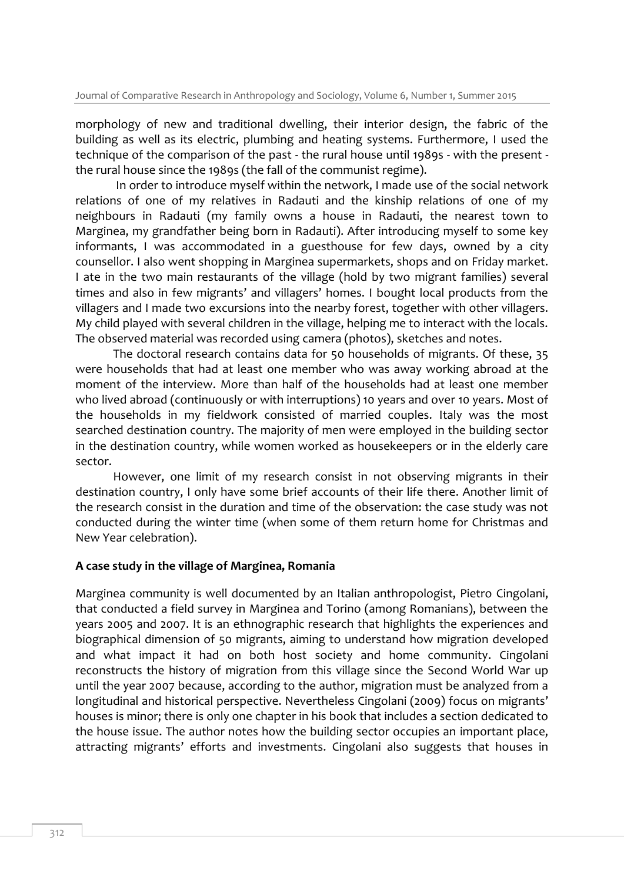morphology of new and traditional dwelling, their interior design, the fabric of the building as well as its electric, plumbing and heating systems. Furthermore, I used the technique of the comparison of the past - the rural house until 1989s - with the present the rural house since the 1989s (the fall of the communist regime).

In order to introduce myself within the network, I made use of the social network relations of one of my relatives in Radauti and the kinship relations of one of my neighbours in Radauti (my family owns a house in Radauti, the nearest town to Marginea, my grandfather being born in Radauti). After introducing myself to some key informants, I was accommodated in a guesthouse for few days, owned by a city counsellor. I also went shopping in Marginea supermarkets, shops and on Friday market. I ate in the two main restaurants of the village (hold by two migrant families) several times and also in few migrants' and villagers' homes. I bought local products from the villagers and I made two excursions into the nearby forest, together with other villagers. My child played with several children in the village, helping me to interact with the locals. The observed material was recorded using camera (photos), sketches and notes.

The doctoral research contains data for 50 households of migrants. Of these, 35 were households that had at least one member who was away working abroad at the moment of the interview. More than half of the households had at least one member who lived abroad (continuously or with interruptions) 10 years and over 10 years. Most of the households in my fieldwork consisted of married couples. Italy was the most searched destination country. The majority of men were employed in the building sector in the destination country, while women worked as housekeepers or in the elderly care sector.

However, one limit of my research consist in not observing migrants in their destination country, I only have some brief accounts of their life there. Another limit of the research consist in the duration and time of the observation: the case study was not conducted during the winter time (when some of them return home for Christmas and New Year celebration).

#### **A case study in the village of Marginea, Romania**

Marginea community is well documented by an Italian anthropologist, Pietro Cingolani, that conducted a field survey in Marginea and Torino (among Romanians), between the years 2005 and 2007. It is an ethnographic research that highlights the experiences and biographical dimension of 50 migrants, aiming to understand how migration developed and what impact it had on both host society and home community. Cingolani reconstructs the history of migration from this village since the Second World War up until the year 2007 because, according to the author, migration must be analyzed from a longitudinal and historical perspective. Nevertheless Cingolani (2009) focus on migrants' houses is minor; there is only one chapter in his book that includes a section dedicated to the house issue. The author notes how the building sector occupies an important place, attracting migrants' efforts and investments. Cingolani also suggests that houses in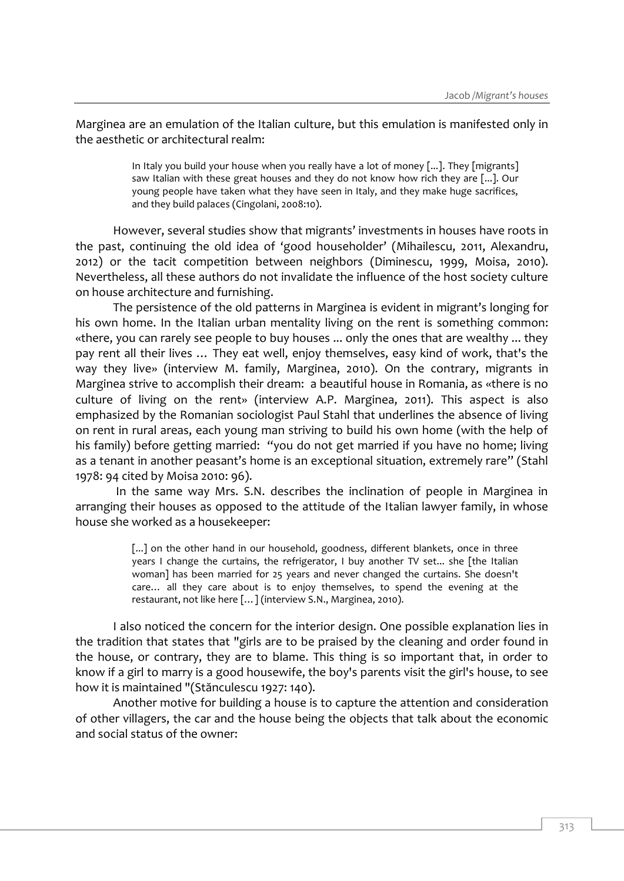Marginea are an emulation of the Italian culture, but this emulation is manifested only in the aesthetic or architectural realm:

> In Italy you build your house when you really have a lot of money [...]. They [migrants] saw Italian with these great houses and they do not know how rich they are [...]. Our young people have taken what they have seen in Italy, and they make huge sacrifices, and they build palaces (Cingolani, 2008:10).

However, several studies show that migrants' investments in houses have roots in the past, continuing the old idea of 'good householder' (Mihailescu, 2011, Alexandru, 2012) or the tacit competition between neighbors (Diminescu, 1999, Moisa, 2010). Nevertheless, all these authors do not invalidate the influence of the host society culture on house architecture and furnishing.

The persistence of the old patterns in Marginea is evident in migrant's longing for his own home. In the Italian urban mentality living on the rent is something common: «there, you can rarely see people to buy houses ... only the ones that are wealthy ... they pay rent all their lives … They eat well, enjoy themselves, easy kind of work, that's the way they live» (interview M. family, Marginea, 2010). On the contrary, migrants in Marginea strive to accomplish their dream: a beautiful house in Romania, as «there is no culture of living on the rent» (interview A.P. Marginea, 2011). This aspect is also emphasized by the Romanian sociologist Paul Stahl that underlines the absence of living on rent in rural areas, each young man striving to build his own home (with the help of his family) before getting married: "you do not get married if you have no home; living as a tenant in another peasant's home is an exceptional situation, extremely rare" (Stahl 1978: 94 cited by Moisa 2010: 96).

In the same way Mrs. S.N. describes the inclination of people in Marginea in arranging their houses as opposed to the attitude of the Italian lawyer family, in whose house she worked as a housekeeper:

> [...] on the other hand in our household, goodness, different blankets, once in three years I change the curtains, the refrigerator, I buy another TV set... she [the Italian woman] has been married for 25 years and never changed the curtains. She doesn't care… all they care about is to enjoy themselves, to spend the evening at the restaurant, not like here […] (interview S.N., Marginea, 2010).

I also noticed the concern for the interior design. One possible explanation lies in the tradition that states that "girls are to be praised by the cleaning and order found in the house, or contrary, they are to blame. This thing is so important that, in order to know if a girl to marry is a good housewife, the boy's parents visit the girl's house, to see how it is maintained "(Stănculescu 1927: 140).

Another motive for building a house is to capture the attention and consideration of other villagers, the car and the house being the objects that talk about the economic and social status of the owner: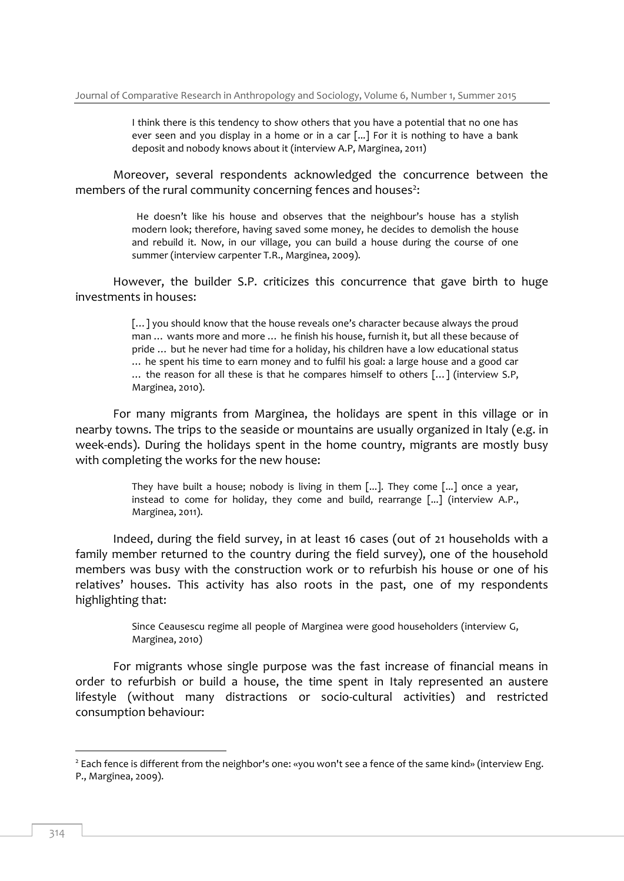I think there is this tendency to show others that you have a potential that no one has ever seen and you display in a home or in a car [...] For it is nothing to have a bank deposit and nobody knows about it (interview A.P, Marginea, 2011)

Moreover, several respondents acknowledged the concurrence between the members of the rural community concerning fences and houses $^2$ :

> He doesn't like his house and observes that the neighbour's house has a stylish modern look; therefore, having saved some money, he decides to demolish the house and rebuild it. Now, in our village, you can build a house during the course of one summer (interview carpenter T.R., Marginea, 2009).

However, the builder S.P. criticizes this concurrence that gave birth to huge investments in houses:

> […] you should know that the house reveals one's character because always the proud man … wants more and more … he finish his house, furnish it, but all these because of pride … but he never had time for a holiday, his children have a low educational status … he spent his time to earn money and to fulfil his goal: a large house and a good car … the reason for all these is that he compares himself to others […] (interview S.P, Marginea, 2010).

For many migrants from Marginea, the holidays are spent in this village or in nearby towns. The trips to the seaside or mountains are usually organized in Italy (e.g. in week-ends). During the holidays spent in the home country, migrants are mostly busy with completing the works for the new house:

> They have built a house; nobody is living in them [...]. They come [...] once a year, instead to come for holiday, they come and build, rearrange [...] (interview A.P., Marginea, 2011).

Indeed, during the field survey, in at least 16 cases (out of 21 households with a family member returned to the country during the field survey), one of the household members was busy with the construction work or to refurbish his house or one of his relatives' houses. This activity has also roots in the past, one of my respondents highlighting that:

> Since Ceausescu regime all people of Marginea were good householders (interview G, Marginea, 2010)

For migrants whose single purpose was the fast increase of financial means in order to refurbish or build a house, the time spent in Italy represented an austere lifestyle (without many distractions or socio-cultural activities) and restricted consumption behaviour:

-

<sup>&</sup>lt;sup>2</sup> Each fence is different from the neighbor's one: «you won't see a fence of the same kind» (interview Eng. P., Marginea, 2009).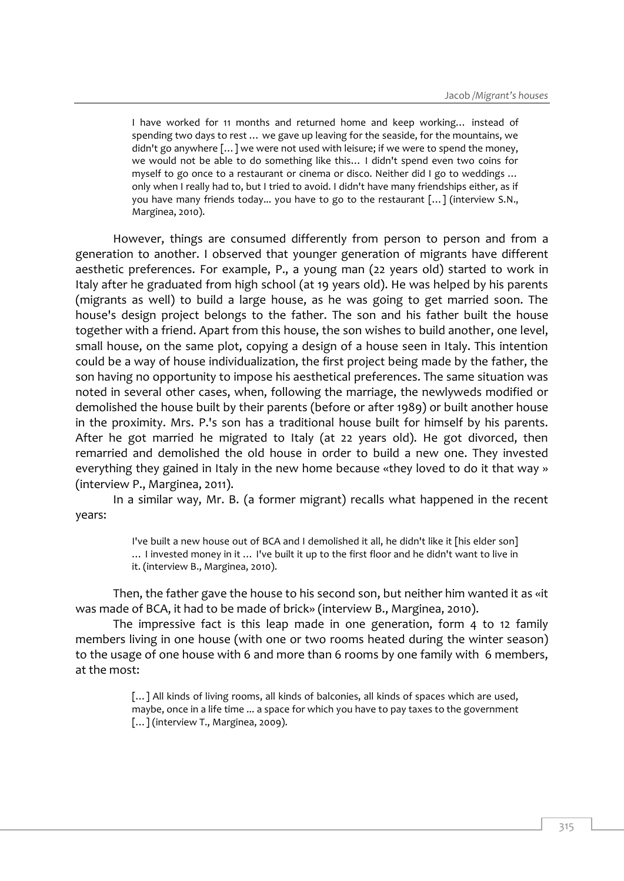I have worked for 11 months and returned home and keep working… instead of spending two days to rest … we gave up leaving for the seaside, for the mountains, we didn't go anywhere […] we were not used with leisure; if we were to spend the money, we would not be able to do something like this… I didn't spend even two coins for myself to go once to a restaurant or cinema or disco. Neither did I go to weddings … only when I really had to, but I tried to avoid. I didn't have many friendships either, as if you have many friends today... you have to go to the restaurant […] (interview S.N., Marginea, 2010).

However, things are consumed differently from person to person and from a generation to another. I observed that younger generation of migrants have different aesthetic preferences. For example, P., a young man (22 years old) started to work in Italy after he graduated from high school (at 19 years old). He was helped by his parents (migrants as well) to build a large house, as he was going to get married soon. The house's design project belongs to the father. The son and his father built the house together with a friend. Apart from this house, the son wishes to build another, one level, small house, on the same plot, copying a design of a house seen in Italy. This intention could be a way of house individualization, the first project being made by the father, the son having no opportunity to impose his aesthetical preferences. The same situation was noted in several other cases, when, following the marriage, the newlyweds modified or demolished the house built by their parents (before or after 1989) or built another house in the proximity. Mrs. P.'s son has a traditional house built for himself by his parents. After he got married he migrated to Italy (at 22 years old). He got divorced, then remarried and demolished the old house in order to build a new one. They invested everything they gained in Italy in the new home because «they loved to do it that way » (interview P., Marginea, 2011).

In a similar way, Mr. B. (a former migrant) recalls what happened in the recent years:

> I've built a new house out of BCA and I demolished it all, he didn't like it [his elder son] … I invested money in it … I've built it up to the first floor and he didn't want to live in it. (interview B., Marginea, 2010).

Then, the father gave the house to his second son, but neither him wanted it as «it was made of BCA, it had to be made of brick» (interview B., Marginea, 2010).

The impressive fact is this leap made in one generation, form 4 to 12 family members living in one house (with one or two rooms heated during the winter season) to the usage of one house with 6 and more than 6 rooms by one family with 6 members, at the most:

> [...] All kinds of living rooms, all kinds of balconies, all kinds of spaces which are used, maybe, once in a life time ... a space for which you have to pay taxes to the government [...] (interview T., Marginea, 2009).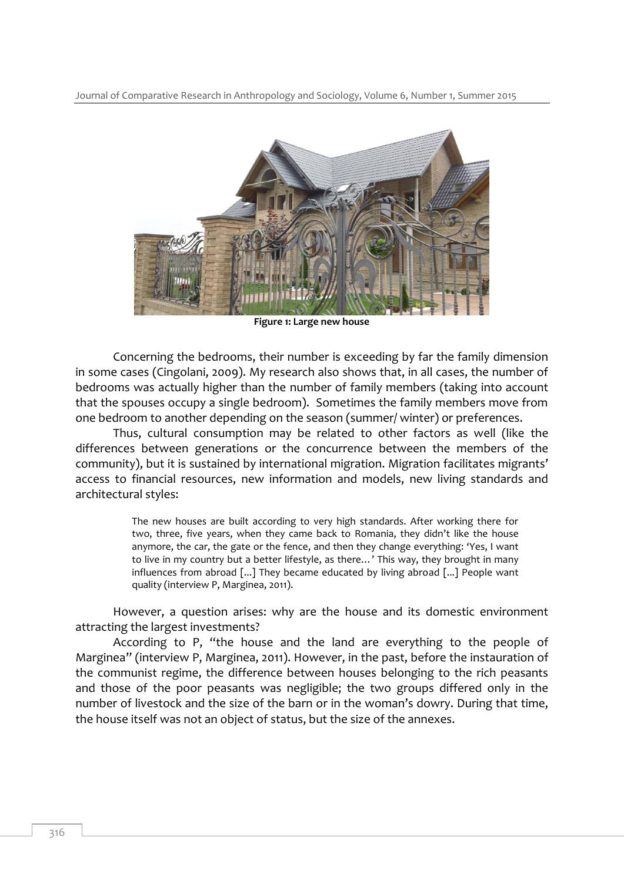Journal of Comparative Research in Anthropology and Sociology, Volume 6, Number 1, Summer 2015



**Figure 1: Large new house**

Concerning the bedrooms, their number is exceeding by far the family dimension in some cases (Cingolani, 2009). My research also shows that, in all cases, the number of bedrooms was actually higher than the number of family members (taking into account that the spouses occupy a single bedroom). Sometimes the family members move from one bedroom to another depending on the season (summer/ winter) or preferences.

Thus, cultural consumption may be related to other factors as well (like the differences between generations or the concurrence between the members of the community), but it is sustained by international migration. Migration facilitates migrants' access to financial resources, new information and models, new living standards and architectural styles:

> The new houses are built according to very high standards. After working there for two, three, five years, when they came back to Romania, they didn't like the house anymore, the car, the gate or the fence, and then they change everything: 'Yes, I want to live in my country but a better lifestyle, as there…' This way, they brought in many influences from abroad [...] They became educated by living abroad [...] People want quality (interview P, Marginea, 2011).

However, a question arises: why are the house and its domestic environment attracting the largest investments?

According to P, "the house and the land are everything to the people of Marginea" (interview P, Marginea, 2011). However, in the past, before the instauration of the communist regime, the difference between houses belonging to the rich peasants and those of the poor peasants was negligible; the two groups differed only in the number of livestock and the size of the barn or in the woman's dowry. During that time, the house itself was not an object of status, but the size of the annexes.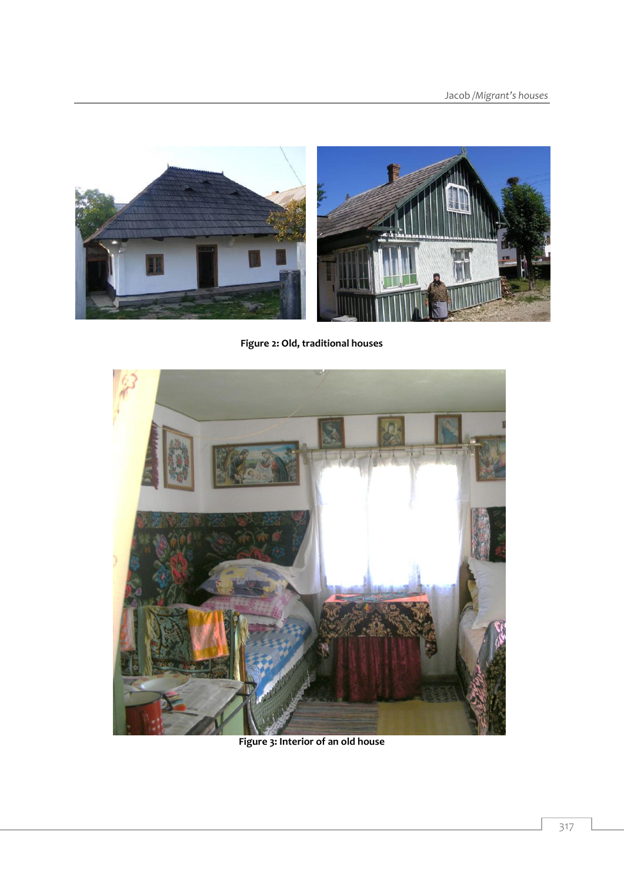

**Figure 2: Old, traditional houses**



**Figure 3: Interior of an old house**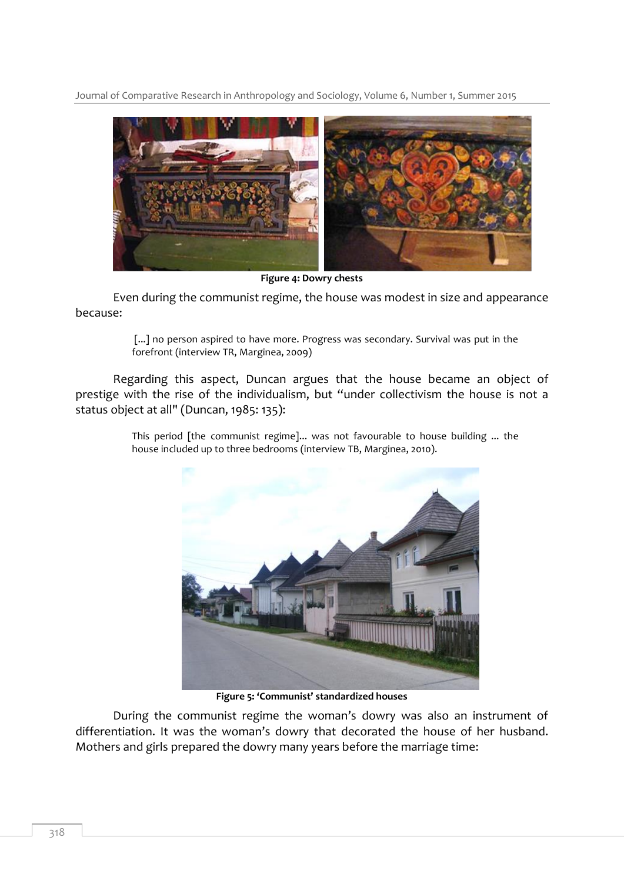Journal of Comparative Research in Anthropology and Sociology, Volume 6, Number 1, Summer 2015



**Figure 4: Dowry chests**

Even during the communist regime, the house was modest in size and appearance because:

> [...] no person aspired to have more. Progress was secondary. Survival was put in the forefront (interview TR, Marginea, 2009)

Regarding this aspect, Duncan argues that the house became an object of prestige with the rise of the individualism, but "under collectivism the house is not a status object at all" (Duncan, 1985: 135):



This period [the communist regime]... was not favourable to house building ... the house included up to three bedrooms (interview TB, Marginea, 2010).

**Figure 5: 'Communist' standardized houses**

During the communist regime the woman's dowry was also an instrument of differentiation. It was the woman's dowry that decorated the house of her husband. Mothers and girls prepared the dowry many years before the marriage time: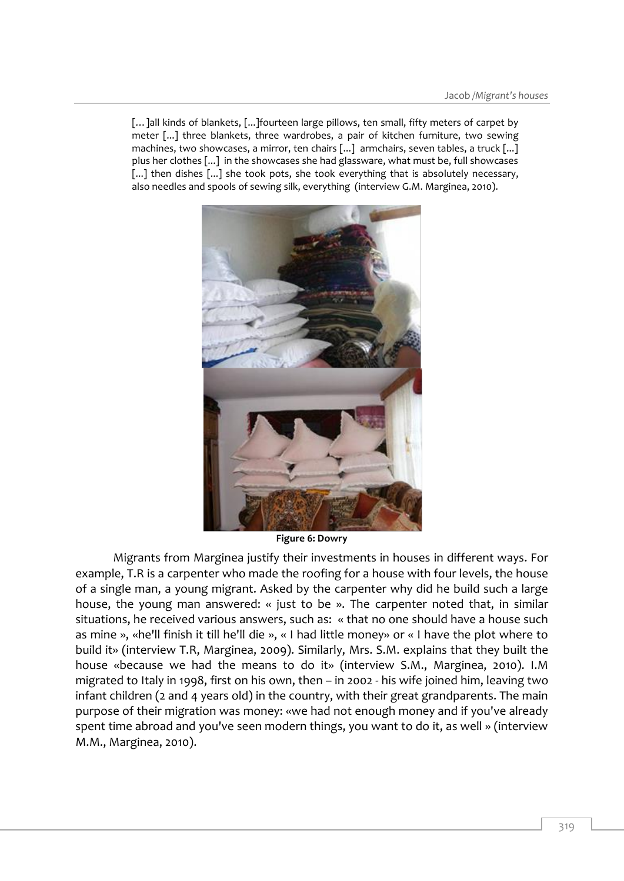[...]all kinds of blankets, [...] fourteen large pillows, ten small, fifty meters of carpet by meter [...] three blankets, three wardrobes, a pair of kitchen furniture, two sewing machines, two showcases, a mirror, ten chairs [...] armchairs, seven tables, a truck [...] plus her clothes [...] in the showcases she had glassware, what must be, full showcases [...] then dishes [...] she took pots, she took everything that is absolutely necessary, also needles and spools of sewing silk, everything (interview G.M. Marginea, 2010).



**Figure 6: Dowry**

Migrants from Marginea justify their investments in houses in different ways. For example, T.R is a carpenter who made the roofing for a house with four levels, the house of a single man, a young migrant. Asked by the carpenter why did he build such a large house, the young man answered: « just to be ». The carpenter noted that, in similar situations, he received various answers, such as: « that no one should have a house such as mine », «he'll finish it till he'll die », « I had little money» or « I have the plot where to build it» (interview T.R, Marginea, 2009). Similarly, Mrs. S.M. explains that they built the house «because we had the means to do it» (interview S.M., Marginea, 2010). I.M migrated to Italy in 1998, first on his own, then – in 2002 - his wife joined him, leaving two infant children (2 and 4 years old) in the country, with their great grandparents. The main purpose of their migration was money: «we had not enough money and if you've already spent time abroad and you've seen modern things, you want to do it, as well » (interview M.M., Marginea, 2010).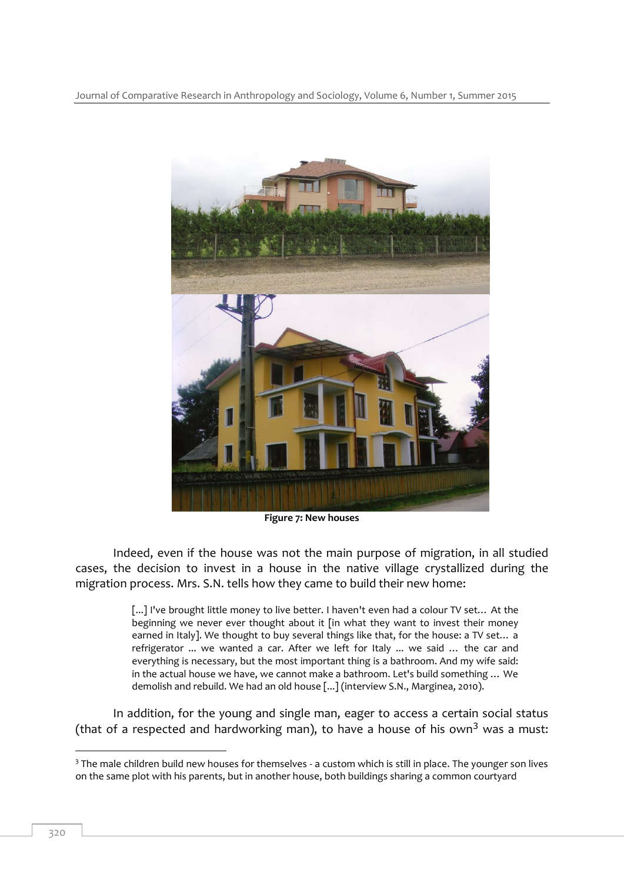

**Figure 7: New houses**

Indeed, even if the house was not the main purpose of migration, in all studied cases, the decision to invest in a house in the native village crystallized during the migration process. Mrs. S.N. tells how they came to build their new home:

> [...] I've brought little money to live better. I haven't even had a colour TV set... At the beginning we never ever thought about it [in what they want to invest their money earned in Italy]. We thought to buy several things like that, for the house: a TV set… a refrigerator ... we wanted a car. After we left for Italy ... we said … the car and everything is necessary, but the most important thing is a bathroom. And my wife said: in the actual house we have, we cannot make a bathroom. Let's build something … We demolish and rebuild. We had an old house [...] (interview S.N., Marginea, 2010).

In addition, for the young and single man, eager to access a certain social status (that of a respected and hardworking man), to have a house of his own<sup>3</sup> was a must:

-

<sup>&</sup>lt;sup>3</sup> The male children build new houses for themselves - a custom which is still in place. The younger son lives on the same plot with his parents, but in another house, both buildings sharing a common courtyard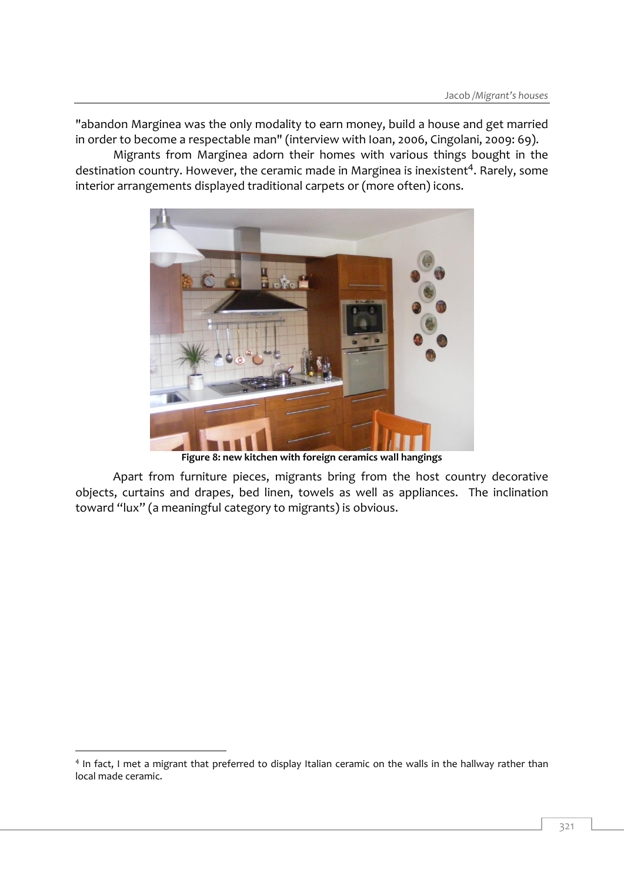"abandon Marginea was the only modality to earn money, build a house and get married in order to become a respectable man" (interview with Ioan, 2006, Cingolani, 2009: 69).

Migrants from Marginea adorn their homes with various things bought in the destination country. However, the ceramic made in Marginea is inexistent<sup>4</sup>. Rarely, some interior arrangements displayed traditional carpets or (more often) icons.



**Figure 8: new kitchen with foreign ceramics wall hangings** 

Apart from furniture pieces, migrants bring from the host country decorative objects, curtains and drapes, bed linen, towels as well as appliances. The inclination toward "lux" (a meaningful category to migrants) is obvious.

-

<sup>&</sup>lt;sup>4</sup> In fact, I met a migrant that preferred to display Italian ceramic on the walls in the hallway rather than local made ceramic.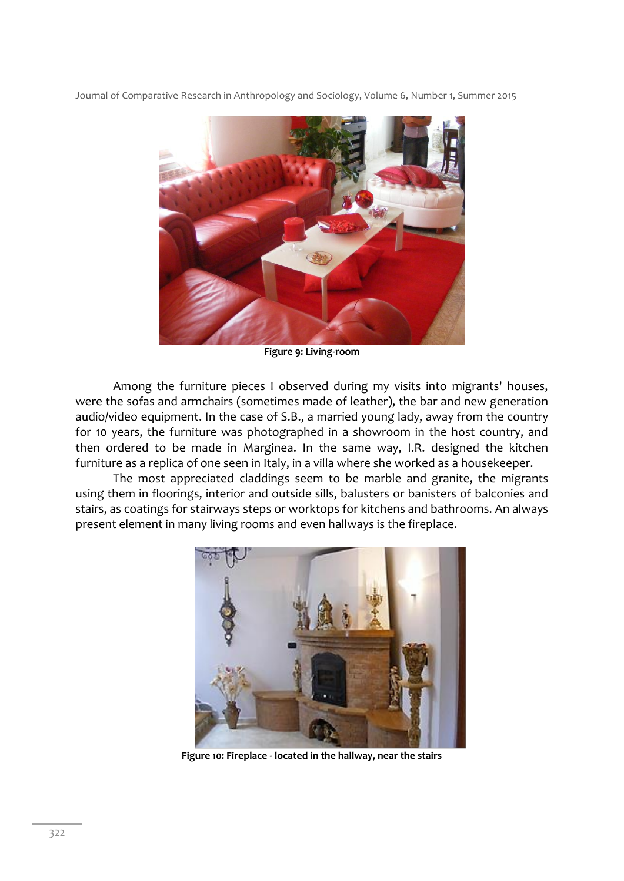

**Figure 9: Living-room** 

Among the furniture pieces I observed during my visits into migrants' houses, were the sofas and armchairs (sometimes made of leather), the bar and new generation audio/video equipment. In the case of S.B., a married young lady, away from the country for 10 years, the furniture was photographed in a showroom in the host country, and then ordered to be made in Marginea. In the same way, I.R. designed the kitchen furniture as a replica of one seen in Italy, in a villa where she worked as a housekeeper.

The most appreciated claddings seem to be marble and granite, the migrants using them in floorings, interior and outside sills, balusters or banisters of balconies and stairs, as coatings for stairways steps or worktops for kitchens and bathrooms. An always present element in many living rooms and even hallways is the fireplace.



**Figure 10: Fireplace - located in the hallway, near the stairs**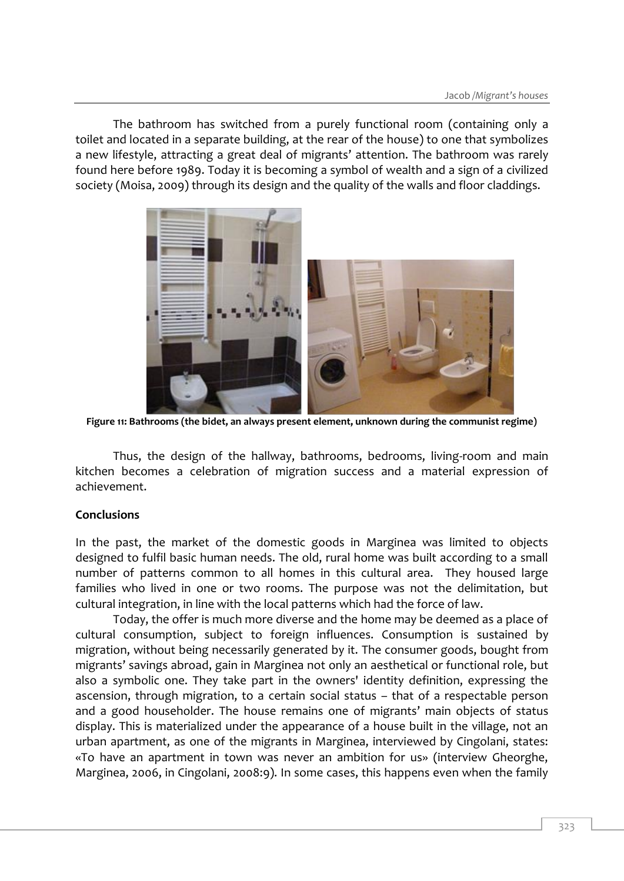The bathroom has switched from a purely functional room (containing only a toilet and located in a separate building, at the rear of the house) to one that symbolizes a new lifestyle, attracting a great deal of migrants' attention. The bathroom was rarely found here before 1989. Today it is becoming a symbol of wealth and a sign of a civilized society (Moisa, 2009) through its design and the quality of the walls and floor claddings.



**Figure 11: Bathrooms (the bidet, an always present element, unknown during the communist regime)**

Thus, the design of the hallway, bathrooms, bedrooms, living-room and main kitchen becomes a celebration of migration success and a material expression of achievement.

## **Conclusions**

In the past, the market of the domestic goods in Marginea was limited to objects designed to fulfil basic human needs. The old, rural home was built according to a small number of patterns common to all homes in this cultural area. They housed large families who lived in one or two rooms. The purpose was not the delimitation, but cultural integration, in line with the local patterns which had the force of law.

Today, the offer is much more diverse and the home may be deemed as a place of cultural consumption, subject to foreign influences. Consumption is sustained by migration, without being necessarily generated by it. The consumer goods, bought from migrants' savings abroad, gain in Marginea not only an aesthetical or functional role, but also a symbolic one. They take part in the owners' identity definition, expressing the ascension, through migration, to a certain social status – that of a respectable person and a good householder. The house remains one of migrants' main objects of status display. This is materialized under the appearance of a house built in the village, not an urban apartment, as one of the migrants in Marginea, interviewed by Cingolani, states: «To have an apartment in town was never an ambition for us» (interview Gheorghe, Marginea, 2006, in Cingolani, 2008:9). In some cases, this happens even when the family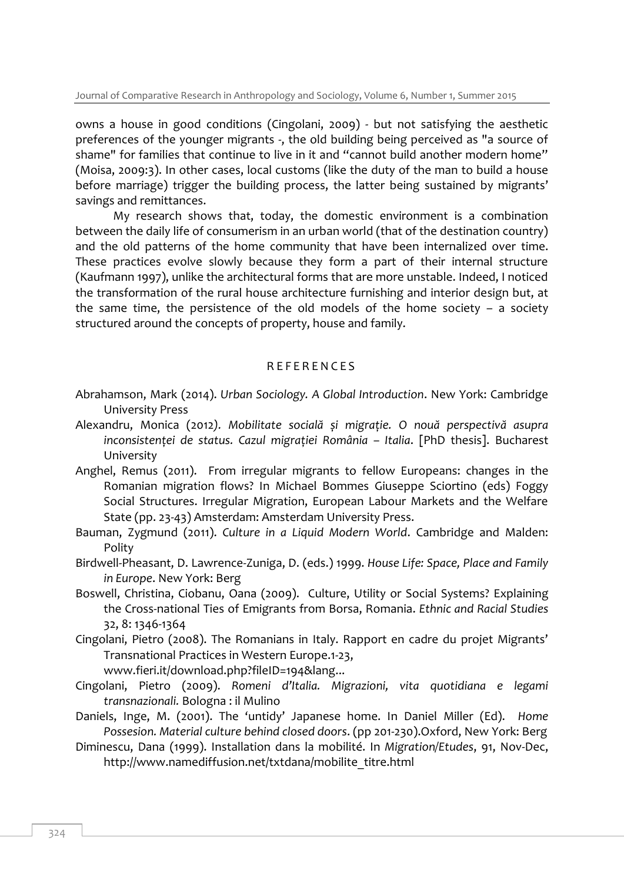owns a house in good conditions (Cingolani, 2009) - but not satisfying the aesthetic preferences of the younger migrants -, the old building being perceived as "a source of shame" for families that continue to live in it and "cannot build another modern home" (Moisa, 2009:3). In other cases, local customs (like the duty of the man to build a house before marriage) trigger the building process, the latter being sustained by migrants' savings and remittances.

My research shows that, today, the domestic environment is a combination between the daily life of consumerism in an urban world (that of the destination country) and the old patterns of the home community that have been internalized over time. These practices evolve slowly because they form a part of their internal structure (Kaufmann 1997), unlike the architectural forms that are more unstable. Indeed, I noticed the transformation of the rural house architecture furnishing and interior design but, at the same time, the persistence of the old models of the home society – a society structured around the concepts of property, house and family.

## R E F E R E N C E S

- Abrahamson, Mark (2014). *Urban Sociology. A Global Introduction*. New York: Cambridge University Press
- Alexandru, Monica (2012*). Mobilitate socială și migrație. O nouă perspectivă asupra inconsistenței de status. Cazul migrației România – Italia*. [PhD thesis]. Bucharest University
- Anghel, Remus (2011). From irregular migrants to fellow Europeans: changes in the Romanian migration flows? In Michael Bommes Giuseppe Sciortino (eds) Foggy Social Structures. Irregular Migration, European Labour Markets and the Welfare State (pp. 23-43) Amsterdam: Amsterdam University Press.
- Bauman, Zygmund (2011). *Culture in a Liquid Modern World*. Cambridge and Malden: Polity
- Birdwell-Pheasant, D. Lawrence-Zuniga, D. (eds.) 1999. *House Life: Space, Place and Family in Europe*. New York: Berg
- Boswell, Christina, Ciobanu, Oana (2009). Culture, Utility or Social Systems? Explaining the Cross-national Ties of Emigrants from Borsa, Romania. *Ethnic and Racial Studies* 32, 8: 1346-1364
- Cingolani, Pietro (2008). The Romanians in Italy. Rapport en cadre du projet Migrants' Transnational Practices in Western Europe.1-23,

[www.fieri.it/download.php?fileID=194&lang.](http://www.fieri.it/download.php?fileID=194&lang)..

- Cingolani, Pietro (2009). *Romeni d'Italia. Migrazioni, vita quotidiana e legami transnazionali.* Bologna : il Mulino
- Daniels, Inge, M. (2001). The 'untidy' Japanese home. In Daniel Miller (Ed). *Home Possesion. Material culture behind closed doors*. (pp 201-230).Oxford, New York: Berg
- Diminescu, Dana (1999). Installation dans la mobilité. In *Migration/Etudes*, 91, Nov-Dec, http://www.namediffusion.net/txtdana/mobilite\_titre.html